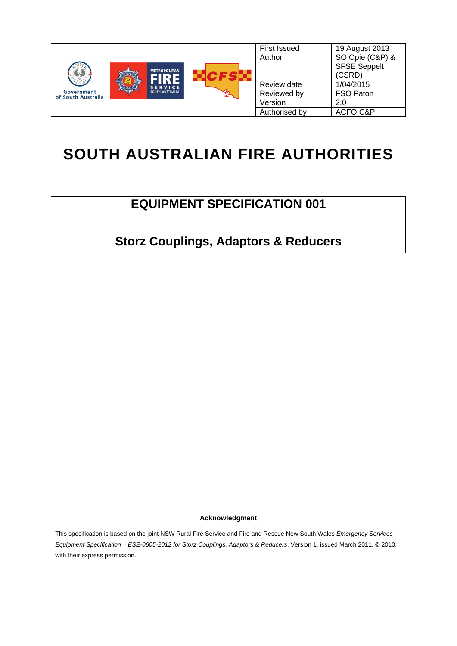

# **SOUTH AUSTRALIAN FIRE AUTHORITIES**

# **EQUIPMENT SPECIFICATION 001**

**Storz Couplings, Adaptors & Reducers** 

**Acknowledgment** 

This specification is based on the joint NSW Rural Fire Service and Fire and Rescue New South Wales *Emergency Services Equipment Specification – ESE-0605-2012 for Storz Couplings, Adaptors & Reducers*, Version 1, issued March 2011, © 2010, with their express permission.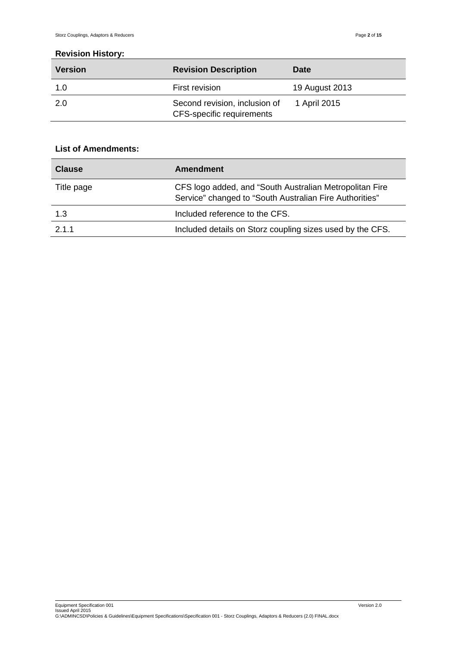#### **Revision History:**

| <b>Version</b> | <b>Revision Description</b>                                | <b>Date</b>    |
|----------------|------------------------------------------------------------|----------------|
| 1.0            | First revision                                             | 19 August 2013 |
| -2.0           | Second revision, inclusion of<br>CFS-specific requirements | 1 April 2015   |

# **List of Amendments:**

| <b>Clause</b> | Amendment                                                                                                          |
|---------------|--------------------------------------------------------------------------------------------------------------------|
| Title page    | CFS logo added, and "South Australian Metropolitan Fire<br>Service" changed to "South Australian Fire Authorities" |
| 1.3           | Included reference to the CFS.                                                                                     |
| 2.1.1         | Included details on Storz coupling sizes used by the CFS.                                                          |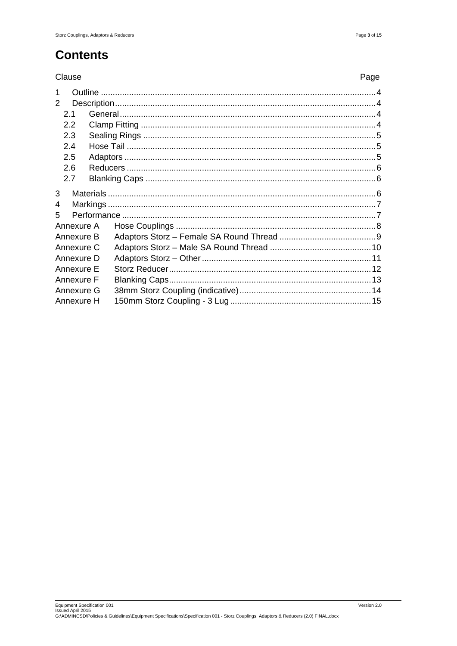# **Contents**

#### Clause

| I<br>٦<br>w<br>۰. |
|-------------------|
|-------------------|

| $\mathcal{P}$ |            |  |  |
|---------------|------------|--|--|
|               | 2.1        |  |  |
|               | 2.2        |  |  |
|               | 2.3        |  |  |
|               | 2.4        |  |  |
|               | 2.5        |  |  |
|               | 2.6        |  |  |
|               | 2.7        |  |  |
| 3             |            |  |  |
| 4             |            |  |  |
| 5             |            |  |  |
|               | Annexure A |  |  |
|               | Annexure B |  |  |
|               | Annexure C |  |  |
|               | Annexure D |  |  |
|               | Annexure E |  |  |
|               | Annexure F |  |  |
|               | Annexure G |  |  |
|               | Annexure H |  |  |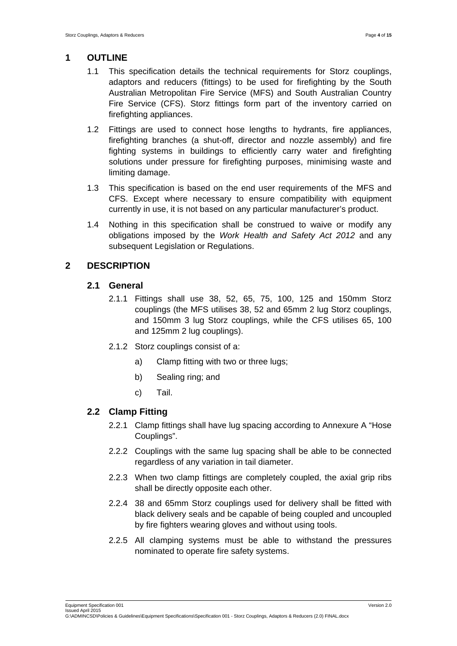#### **1 OUTLINE**

- 1.1 This specification details the technical requirements for Storz couplings, adaptors and reducers (fittings) to be used for firefighting by the South Australian Metropolitan Fire Service (MFS) and South Australian Country Fire Service (CFS). Storz fittings form part of the inventory carried on firefighting appliances.
- 1.2 Fittings are used to connect hose lengths to hydrants, fire appliances, firefighting branches (a shut-off, director and nozzle assembly) and fire fighting systems in buildings to efficiently carry water and firefighting solutions under pressure for firefighting purposes, minimising waste and limiting damage.
- 1.3 This specification is based on the end user requirements of the MFS and CFS. Except where necessary to ensure compatibility with equipment currently in use, it is not based on any particular manufacturer's product.
- 1.4 Nothing in this specification shall be construed to waive or modify any obligations imposed by the *Work Health and Safety Act 2012* and any subsequent Legislation or Regulations.

## **2 DESCRIPTION**

#### **2.1 General**

- 2.1.1 Fittings shall use 38, 52, 65, 75, 100, 125 and 150mm Storz couplings (the MFS utilises 38, 52 and 65mm 2 lug Storz couplings, and 150mm 3 lug Storz couplings, while the CFS utilises 65, 100 and 125mm 2 lug couplings).
- 2.1.2 Storz couplings consist of a:
	- a) Clamp fitting with two or three lugs;
	- b) Sealing ring; and
	- c) Tail.

## **2.2 Clamp Fitting**

- 2.2.1 Clamp fittings shall have lug spacing according to Annexure A "Hose Couplings".
- 2.2.2 Couplings with the same lug spacing shall be able to be connected regardless of any variation in tail diameter.
- 2.2.3 When two clamp fittings are completely coupled, the axial grip ribs shall be directly opposite each other.
- 2.2.4 38 and 65mm Storz couplings used for delivery shall be fitted with black delivery seals and be capable of being coupled and uncoupled by fire fighters wearing gloves and without using tools.
- 2.2.5 All clamping systems must be able to withstand the pressures nominated to operate fire safety systems.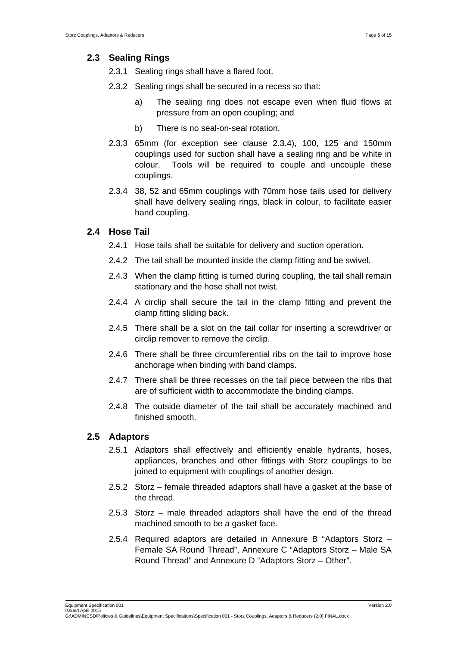#### **2.3 Sealing Rings**

- 2.3.1 Sealing rings shall have a flared foot.
- 2.3.2 Sealing rings shall be secured in a recess so that:
	- a) The sealing ring does not escape even when fluid flows at pressure from an open coupling; and
	- b) There is no seal-on-seal rotation.
- 2.3.3 65mm (for exception see clause 2.3.4), 100, 125 and 150mm couplings used for suction shall have a sealing ring and be white in colour. Tools will be required to couple and uncouple these couplings.
- 2.3.4 38, 52 and 65mm couplings with 70mm hose tails used for delivery shall have delivery sealing rings, black in colour, to facilitate easier hand coupling.

#### **2.4 Hose Tail**

- 2.4.1 Hose tails shall be suitable for delivery and suction operation.
- 2.4.2 The tail shall be mounted inside the clamp fitting and be swivel.
- 2.4.3 When the clamp fitting is turned during coupling, the tail shall remain stationary and the hose shall not twist.
- 2.4.4 A circlip shall secure the tail in the clamp fitting and prevent the clamp fitting sliding back.
- 2.4.5 There shall be a slot on the tail collar for inserting a screwdriver or circlip remover to remove the circlip.
- 2.4.6 There shall be three circumferential ribs on the tail to improve hose anchorage when binding with band clamps.
- 2.4.7 There shall be three recesses on the tail piece between the ribs that are of sufficient width to accommodate the binding clamps.
- 2.4.8 The outside diameter of the tail shall be accurately machined and finished smooth.

#### **2.5 Adaptors**

- 2.5.1 Adaptors shall effectively and efficiently enable hydrants, hoses, appliances, branches and other fittings with Storz couplings to be joined to equipment with couplings of another design.
- 2.5.2 Storz female threaded adaptors shall have a gasket at the base of the thread.
- 2.5.3 Storz male threaded adaptors shall have the end of the thread machined smooth to be a gasket face.
- 2.5.4 Required adaptors are detailed in Annexure B "Adaptors Storz Female SA Round Thread", Annexure C "Adaptors Storz – Male SA Round Thread" and Annexure D "Adaptors Storz – Other".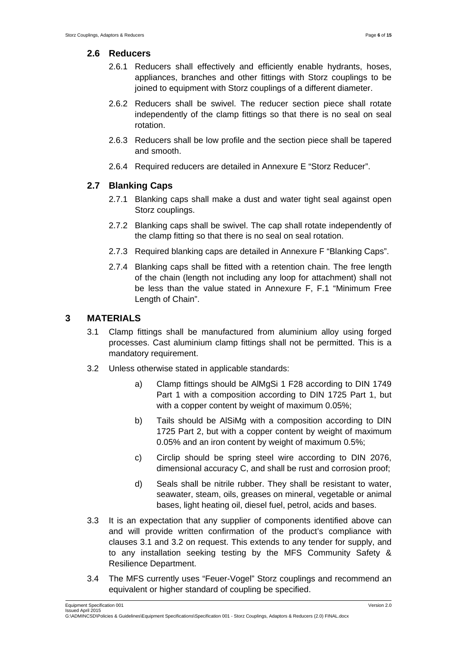#### **2.6 Reducers**

- 2.6.1 Reducers shall effectively and efficiently enable hydrants, hoses, appliances, branches and other fittings with Storz couplings to be joined to equipment with Storz couplings of a different diameter.
- 2.6.2 Reducers shall be swivel. The reducer section piece shall rotate independently of the clamp fittings so that there is no seal on seal rotation.
- 2.6.3 Reducers shall be low profile and the section piece shall be tapered and smooth.
- 2.6.4 Required reducers are detailed in Annexure E "Storz Reducer".

#### **2.7 Blanking Caps**

- 2.7.1 Blanking caps shall make a dust and water tight seal against open Storz couplings.
- 2.7.2 Blanking caps shall be swivel. The cap shall rotate independently of the clamp fitting so that there is no seal on seal rotation.
- 2.7.3 Required blanking caps are detailed in Annexure F "Blanking Caps".
- 2.7.4 Blanking caps shall be fitted with a retention chain. The free length of the chain (length not including any loop for attachment) shall not be less than the value stated in Annexure F, F.1 "Minimum Free Length of Chain".

#### **3 MATERIALS**

- 3.1 Clamp fittings shall be manufactured from aluminium alloy using forged processes. Cast aluminium clamp fittings shall not be permitted. This is a mandatory requirement.
- 3.2 Unless otherwise stated in applicable standards:
	- a) Clamp fittings should be AlMgSi 1 F28 according to DIN 1749 Part 1 with a composition according to DIN 1725 Part 1, but with a copper content by weight of maximum 0.05%;
	- b) Tails should be AlSiMg with a composition according to DIN 1725 Part 2, but with a copper content by weight of maximum 0.05% and an iron content by weight of maximum 0.5%;
	- c) Circlip should be spring steel wire according to DIN 2076, dimensional accuracy C, and shall be rust and corrosion proof;
	- d) Seals shall be nitrile rubber. They shall be resistant to water, seawater, steam, oils, greases on mineral, vegetable or animal bases, light heating oil, diesel fuel, petrol, acids and bases.
- 3.3 It is an expectation that any supplier of components identified above can and will provide written confirmation of the product's compliance with clauses 3.1 and 3.2 on request. This extends to any tender for supply, and to any installation seeking testing by the MFS Community Safety & Resilience Department.
- 3.4 The MFS currently uses "Feuer-Vogel" Storz couplings and recommend an equivalent or higher standard of coupling be specified.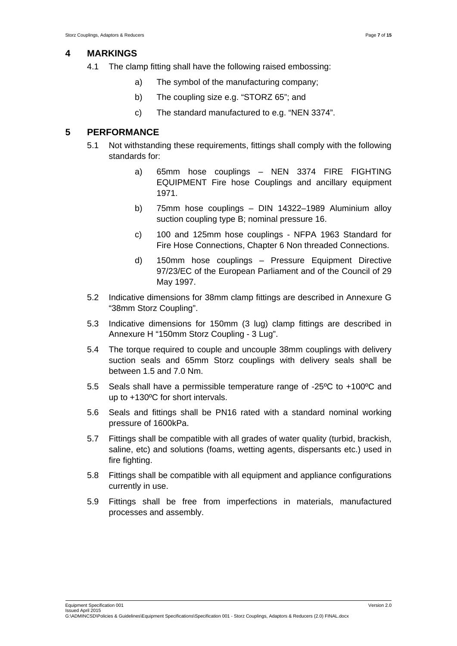#### **4 MARKINGS**

- 4.1 The clamp fitting shall have the following raised embossing:
	- a) The symbol of the manufacturing company;
	- b) The coupling size e.g. "STORZ 65"; and
	- c) The standard manufactured to e.g. "NEN 3374".

#### **5 PERFORMANCE**

- 5.1 Not withstanding these requirements, fittings shall comply with the following standards for:
	- a) 65mm hose couplings NEN 3374 FIRE FIGHTING EQUIPMENT Fire hose Couplings and ancillary equipment 1971.
	- b) 75mm hose couplings DIN 14322–1989 Aluminium alloy suction coupling type B; nominal pressure 16.
	- c) 100 and 125mm hose couplings NFPA 1963 Standard for Fire Hose Connections, Chapter 6 Non threaded Connections.
	- d) 150mm hose couplings Pressure Equipment Directive 97/23/EC of the European Parliament and of the Council of 29 May 1997.
- 5.2 Indicative dimensions for 38mm clamp fittings are described in Annexure G "38mm Storz Coupling".
- 5.3 Indicative dimensions for 150mm (3 lug) clamp fittings are described in Annexure H "150mm Storz Coupling - 3 Lug".
- 5.4 The torque required to couple and uncouple 38mm couplings with delivery suction seals and 65mm Storz couplings with delivery seals shall be between 1.5 and 7.0 Nm.
- 5.5 Seals shall have a permissible temperature range of -25ºC to +100ºC and up to +130ºC for short intervals.
- 5.6 Seals and fittings shall be PN16 rated with a standard nominal working pressure of 1600kPa.
- 5.7 Fittings shall be compatible with all grades of water quality (turbid, brackish, saline, etc) and solutions (foams, wetting agents, dispersants etc.) used in fire fighting.
- 5.8 Fittings shall be compatible with all equipment and appliance configurations currently in use.
- 5.9 Fittings shall be free from imperfections in materials, manufactured processes and assembly.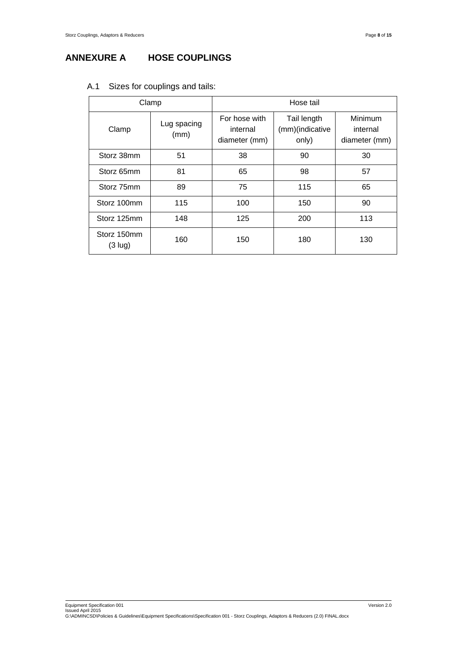# **ANNEXURE A HOSE COUPLINGS**

| Clamp                            |                     | Hose tail                                  |                                         |                                      |
|----------------------------------|---------------------|--------------------------------------------|-----------------------------------------|--------------------------------------|
| Clamp                            | Lug spacing<br>(mm) | For hose with<br>internal<br>diameter (mm) | Tail length<br>(mm)(indicative<br>only) | Minimum<br>internal<br>diameter (mm) |
| Storz 38mm                       | 51                  | 38                                         | 90                                      | 30                                   |
| Storz 65mm                       | 81                  | 65                                         | 98                                      | 57                                   |
| Storz 75mm                       | 89                  | 75                                         | 115                                     | 65                                   |
| Storz 100mm                      | 115                 | 100                                        | 150                                     | 90                                   |
| Storz 125mm                      | 148                 | 125                                        | 200                                     | 113                                  |
| Storz 150mm<br>$(3 \text{ lug})$ | 160                 | 150                                        | 180                                     | 130                                  |

#### A.1 Sizes for couplings and tails: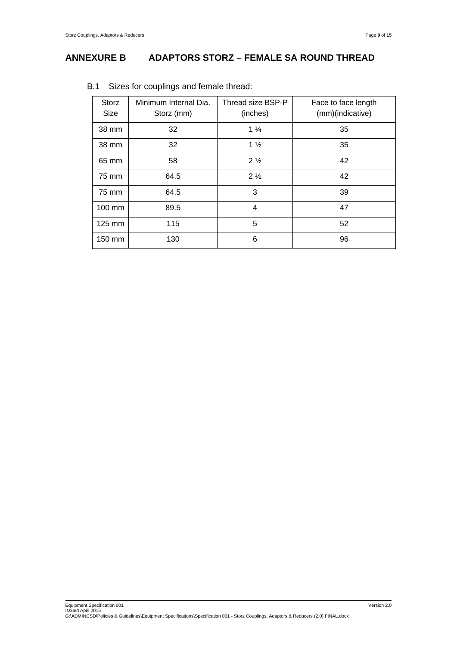# **ANNEXURE B ADAPTORS STORZ – FEMALE SA ROUND THREAD**

| <b>Storz</b><br><b>Size</b> | Minimum Internal Dia.<br>Storz (mm) | Thread size BSP-P<br>(inches) | Face to face length<br>(mm)(indicative) |
|-----------------------------|-------------------------------------|-------------------------------|-----------------------------------------|
| 38 mm                       | 32                                  | $1\frac{1}{4}$                | 35                                      |
| 38 mm                       | 32                                  | $1\frac{1}{2}$                | 35                                      |
| 65 mm                       | 58                                  | 2 <sub>2</sub>                | 42                                      |
| 75 mm                       | 64.5                                | $2\frac{1}{2}$                | 42                                      |
| 75 mm                       | 64.5                                | 3                             | 39                                      |
| 100 mm                      | 89.5                                | 4                             | 47                                      |
| 125 mm                      | 115                                 | 5                             | 52                                      |
| 150 mm                      | 130                                 | 6                             | 96                                      |

#### B.1 Sizes for couplings and female thread: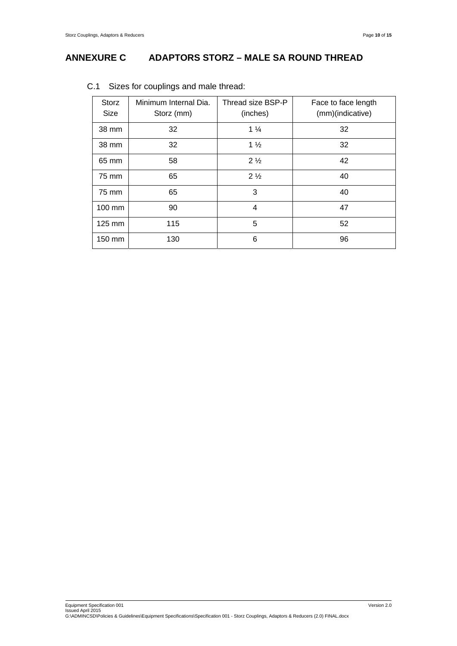## **ANNEXURE C ADAPTORS STORZ – MALE SA ROUND THREAD**

| <b>Storz</b><br>Size | Minimum Internal Dia.<br>Storz (mm) | Thread size BSP-P<br>(inches) | Face to face length<br>(mm)(indicative) |
|----------------------|-------------------------------------|-------------------------------|-----------------------------------------|
| 38 mm                | 32                                  | $1\frac{1}{4}$                | 32                                      |
| 38 mm                | 32                                  | $1\frac{1}{2}$                | 32                                      |
| 65 mm                | 58                                  | 2 <sub>2</sub>                | 42                                      |
| 75 mm                | 65                                  | 2 <sub>2</sub>                | 40                                      |
| 75 mm                | 65                                  | 3                             | 40                                      |
| 100 mm               | 90                                  | 4                             | 47                                      |
| 125 mm               | 115                                 | 5                             | 52                                      |
| 150 mm               | 130                                 | 6                             | 96                                      |

#### C.1 Sizes for couplings and male thread: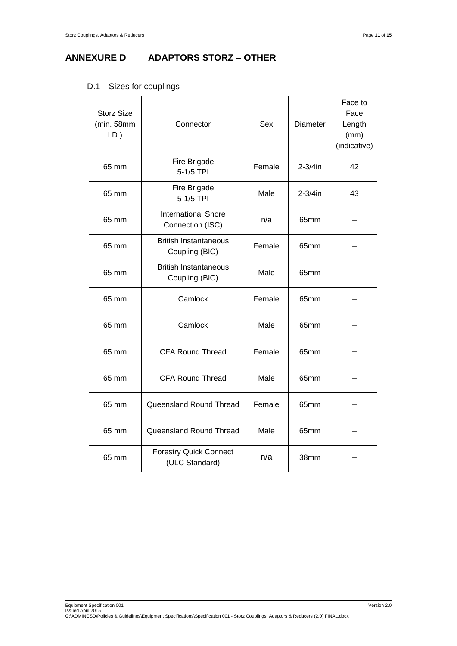# **ANNEXURE D ADAPTORS STORZ – OTHER**

| <b>Storz Size</b><br>(min. 58mm<br>I.D.) | Connector                                       | Sex    | Diameter     | Face to<br>Face<br>Length<br>(mm)<br>(indicative) |
|------------------------------------------|-------------------------------------------------|--------|--------------|---------------------------------------------------|
| 65 mm                                    | Fire Brigade<br>5-1/5 TPI                       | Female | $2 - 3/4$ in | 42                                                |
| 65 mm                                    | Fire Brigade<br>5-1/5 TPI                       | Male   | $2-3/4$ in   | 43                                                |
| 65 mm                                    | <b>International Shore</b><br>Connection (ISC)  | n/a    | 65mm         |                                                   |
| 65 mm                                    | <b>British Instantaneous</b><br>Coupling (BIC)  | Female | 65mm         |                                                   |
| 65 mm                                    | <b>British Instantaneous</b><br>Coupling (BIC)  | Male   | 65mm         |                                                   |
| 65 mm                                    | Camlock                                         | Female | 65mm         |                                                   |
| 65 mm                                    | Camlock                                         | Male   | 65mm         |                                                   |
| 65 mm                                    | <b>CFA Round Thread</b>                         | Female | 65mm         |                                                   |
| 65 mm                                    | <b>CFA Round Thread</b>                         |        | 65mm         |                                                   |
| 65 mm                                    | Queensland Round Thread                         | Female | 65mm         |                                                   |
| 65 mm                                    | Queensland Round Thread                         | Male   | 65mm         |                                                   |
| 65 mm                                    | <b>Forestry Quick Connect</b><br>(ULC Standard) | n/a    | 38mm         |                                                   |

## D.1 Sizes for couplings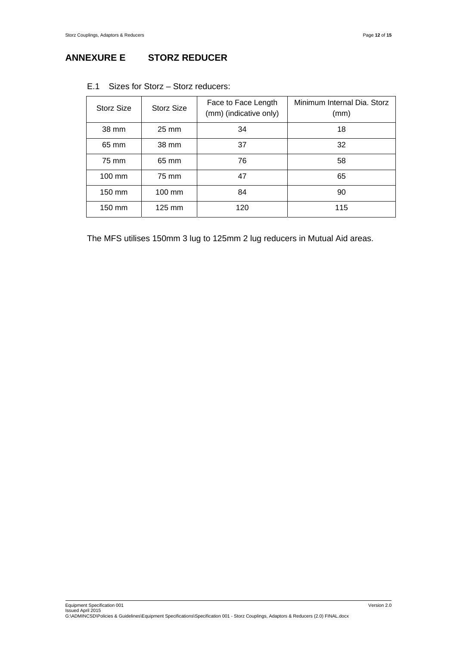| Storz Size       | Storz Size       | Face to Face Length<br>(mm) (indicative only) | Minimum Internal Dia. Storz<br>(mm) |
|------------------|------------------|-----------------------------------------------|-------------------------------------|
| 38 mm            | $25 \text{ mm}$  | 34                                            | 18                                  |
| 65 mm            | 38 mm            | 37                                            | 32                                  |
| 75 mm            | 65 mm            | 76                                            | 58                                  |
| $100 \text{ mm}$ | 75 mm            | 47                                            | 65                                  |
| 150 mm           | $100 \text{ mm}$ | 84                                            | 90                                  |
| 150 mm           | $125 \text{ mm}$ | 120                                           | 115                                 |

#### E.1 Sizes for Storz – Storz reducers:

The MFS utilises 150mm 3 lug to 125mm 2 lug reducers in Mutual Aid areas.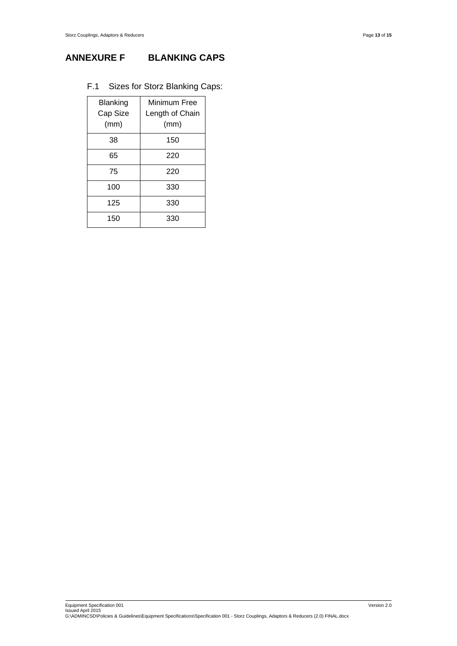# **ANNEXURE F BLANKING CAPS**

#### F.1 Sizes for Storz Blanking Caps:

| <b>Blanking</b><br>Cap Size<br>(mm) | Minimum Free<br>Length of Chain<br>(mm) |
|-------------------------------------|-----------------------------------------|
| 38                                  | 150                                     |
| 65                                  | 220                                     |
| 75                                  | 220                                     |
| 100                                 | 330                                     |
| 125                                 | 330                                     |
| 150                                 | 330                                     |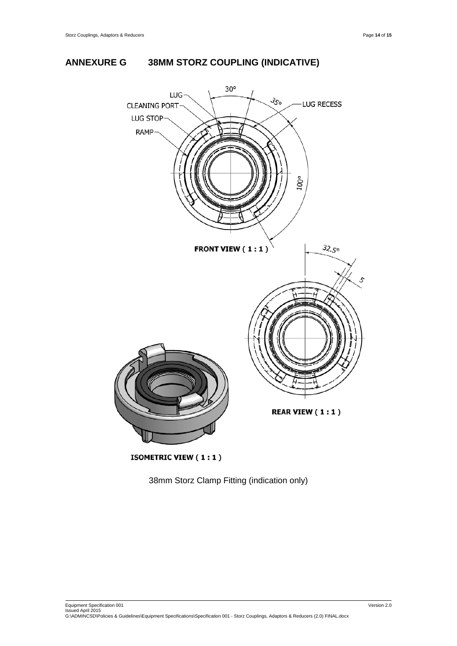



**ISOMETRIC VIEW (1:1)** 

38mm Storz Clamp Fitting (indication only)